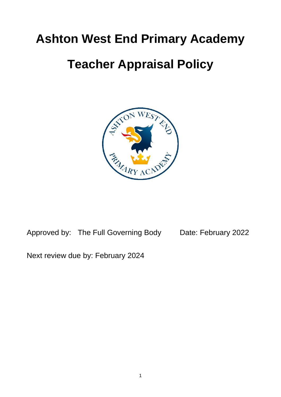# **Ashton West End Primary Academy**

# **Teacher Appraisal Policy**



Approved by: The Full Governing Body Date: February 2022

Next review due by: February 2024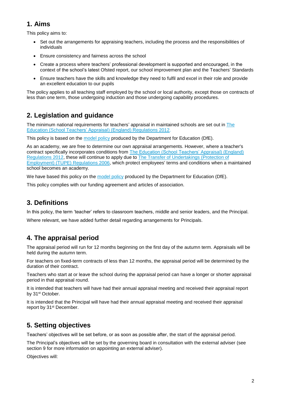# **1. Aims**

This policy aims to:

- Set out the arrangements for appraising teachers, including the process and the responsibilities of individuals
- Ensure consistency and fairness across the school
- Create a process where teachers' professional development is supported and encouraged, in the context of the school's latest Ofsted report, our school improvement plan and the Teachers' Standards
- Ensure teachers have the skills and knowledge they need to fulfil and excel in their role and provide an excellent education to our pupils

The policy applies to all teaching staff employed by the school or local authority, except those on contracts of less than one term, those undergoing induction and those undergoing capability procedures.

# **2. Legislation and guidance**

The minimum national requirements for teachers' appraisal in maintained schools are set out in [The](http://www.legislation.gov.uk/uksi/2012/115/contents/made)  [Education \(School Teachers' Appraisal\) \(England\) Regulations 2012.](http://www.legislation.gov.uk/uksi/2012/115/contents/made)

This policy is based on the [model policy](https://www.gov.uk/government/publications/teacher-appraisal-and-capability-model-policy) produced by the Department for Education (DfE).

As an academy, we are free to determine our own appraisal arrangements. However, where a teacher's contract specifically incorporates conditions from [The Education \(School Teachers' Appraisal\) \(England\)](http://www.legislation.gov.uk/uksi/2012/115/contents/made)  [Regulations 2012,](http://www.legislation.gov.uk/uksi/2012/115/contents/made) these will continue to apply due to The Transfer of [Undertakings \(Protection of](http://www.legislation.gov.uk/uksi/2006/246/contents/made)  [Employment\) \(TUPE\) Regulations 2006,](http://www.legislation.gov.uk/uksi/2006/246/contents/made) which protect employees' terms and conditions when a maintained school becomes an academy.

We have based this policy on the [model policy](https://www.gov.uk/government/publications/teacher-appraisal-and-capability-model-policy) produced by the Department for Education (DfE).

This policy complies with our funding agreement and articles of association.

# **3. Definitions**

In this policy, the term 'teacher' refers to classroom teachers, middle and senior leaders, and the Principal.

Where relevant, we have added further detail regarding arrangements for Principals.

## **4. The appraisal period**

The appraisal period will run for 12 months beginning on the first day of the autumn term. Appraisals will be held during the autumn term.

For teachers on fixed-term contracts of less than 12 months, the appraisal period will be determined by the duration of their contract.

Teachers who start at or leave the school during the appraisal period can have a longer or shorter appraisal period in that appraisal round.

It is intended that teachers will have had their annual appraisal meeting and received their appraisal report by 31<sup>st</sup> October.

It is intended that the Principal will have had their annual appraisal meeting and received their appraisal report by 31<sup>st</sup> December.

# **5. Setting objectives**

Teachers' objectives will be set before, or as soon as possible after, the start of the appraisal period.

The Principal's objectives will be set by the governing board in consultation with the external adviser (see section 9 for more information on appointing an external adviser).

Objectives will: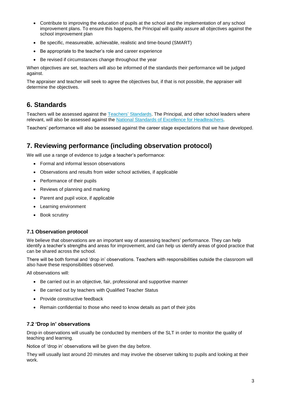- Contribute to improving the education of pupils at the school and the implementation of any school improvement plans. To ensure this happens, the Principal will quality assure all objectives against the school improvement plan
- Be specific, measureable, achievable, realistic and time-bound (SMART)
- Be appropriate to the teacher's role and career experience
- Be revised if circumstances change throughout the year

When objectives are set, teachers will also be informed of the standards their performance will be judged against.

The appraiser and teacher will seek to agree the objectives but, if that is not possible, the appraiser will determine the objectives.

## **6. Standards**

Teachers will be assessed against the Teachers' [Standards.](https://www.gov.uk/government/publications/teachers-standards) The Principal, and other school leaders where relevant, will also be assessed against the [National Standards of Excellence for Headteachers.](https://www.gov.uk/government/publications/national-standards-of-excellence-for-headteachers)

Teachers' performance will also be assessed against the career stage expectations that we have developed.

## **7. Reviewing performance (including observation protocol)**

We will use a range of evidence to judge a teacher's performance:

- Formal and informal lesson observations
- Observations and results from wider school activities, if applicable
- Performance of their pupils
- Reviews of planning and marking
- Parent and pupil voice, if applicable
- Learning environment
- Book scrutiny

#### **7.1 Observation protocol**

We believe that observations are an important way of assessing teachers' performance. They can help identify a teacher's strengths and areas for improvement, and can help us identify areas of good practice that can be shared across the school.

There will be both formal and 'drop in' observations. Teachers with responsibilities outside the classroom will also have these responsibilities observed.

All observations will:

- Be carried out in an objective, fair, professional and supportive manner
- Be carried out by teachers with Qualified Teacher Status
- Provide constructive feedback
- Remain confidential to those who need to know details as part of their jobs

#### **7.2 'Drop in' observations**

Drop-in observations will usually be conducted by members of the SLT in order to monitor the quality of teaching and learning.

Notice of 'drop in' observations will be given the day before.

They will usually last around 20 minutes and may involve the observer talking to pupils and looking at their work.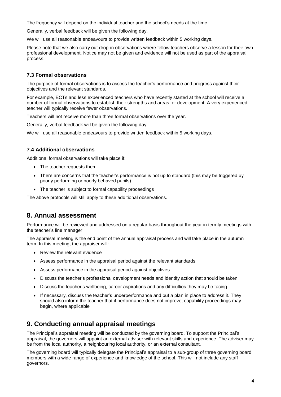The frequency will depend on the individual teacher and the school's needs at the time.

Generally, verbal feedback will be given the following day.

We will use all reasonable endeavours to provide written feedback within 5 working days.

Please note that we also carry out drop-in observations where fellow teachers observe a lesson for their own professional development. Notice may not be given and evidence will not be used as part of the appraisal process.

#### **7.3 Formal observations**

The purpose of formal observations is to assess the teacher's performance and progress against their objectives and the relevant standards.

For example, ECTs and less experienced teachers who have recently started at the school will receive a number of formal observations to establish their strengths and areas for development. A very experienced teacher will typically receive fewer observations.

Teachers will not receive more than three formal observations over the year.

Generally, verbal feedback will be given the following day.

We will use all reasonable endeavours to provide written feedback within 5 working days.

#### **7.4 Additional observations**

Additional formal observations will take place if:

- The teacher requests them
- There are concerns that the teacher's performance is not up to standard (this may be triggered by poorly performing or poorly behaved pupils)
- The teacher is subject to formal capability proceedings

The above protocols will still apply to these additional observations.

## **8. Annual assessment**

Performance will be reviewed and addressed on a regular basis throughout the year in termly meetings with the teacher's line manager.

The appraisal meeting is the end point of the annual appraisal process and will take place in the autumn term. In this meeting, the appraiser will:

- Review the relevant evidence
- Assess performance in the appraisal period against the relevant standards
- Assess performance in the appraisal period against objectives
- Discuss the teacher's professional development needs and identify action that should be taken
- Discuss the teacher's wellbeing, career aspirations and any difficulties they may be facing
- If necessary, discuss the teacher's underperformance and put a plan in place to address it. They should also inform the teacher that if performance does not improve, capability proceedings may begin, where applicable

## **9. Conducting annual appraisal meetings**

The Principal's appraisal meeting will be conducted by the governing board. To support the Principal's appraisal, the governors will appoint an external adviser with relevant skills and experience. The adviser may be from the local authority, a neighbouring local authority, or an external consultant.

The governing board will typically delegate the Principal's appraisal to a sub-group of three governing board members with a wide range of experience and knowledge of the school. This will not include any staff governors.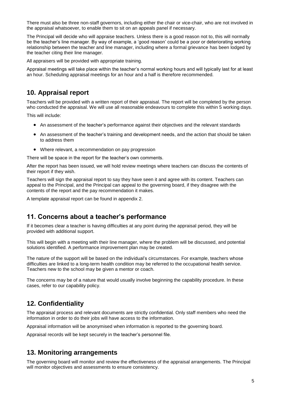There must also be three non-staff governors, including either the chair or vice-chair, who are not involved in the appraisal whatsoever, to enable them to sit on an appeals panel if necessary.

The Principal will decide who will appraise teachers. Unless there is a good reason not to, this will normally be the teacher's line manager. By way of example, a 'good reason' could be a poor or deteriorating working relationship between the teacher and line manager, including where a formal grievance has been lodged by the teacher citing their line manager.

All appraisers will be provided with appropriate training.

Appraisal meetings will take place within the teacher's normal working hours and will typically last for at least an hour. Scheduling appraisal meetings for an hour and a half is therefore recommended.

## **10. Appraisal report**

Teachers will be provided with a written report of their appraisal. The report will be completed by the person who conducted the appraisal. We will use all reasonable endeavours to complete this within 5 working days.

This will include:

- An assessment of the teacher's performance against their objectives and the relevant standards
- An assessment of the teacher's training and development needs, and the action that should be taken to address them
- Where relevant, a recommendation on pay progression

There will be space in the report for the teacher's own comments.

After the report has been issued, we will hold review meetings where teachers can discuss the contents of their report if they wish.

Teachers will sign the appraisal report to say they have seen it and agree with its content. Teachers can appeal to the Principal, and the Principal can appeal to the governing board, if they disagree with the contents of the report and the pay recommendation it makes.

A template appraisal report can be found in appendix 2.

### **11. Concerns about a teacher's performance**

If it becomes clear a teacher is having difficulties at any point during the appraisal period, they will be provided with additional support.

This will begin with a meeting with their line manager, where the problem will be discussed, and potential solutions identified. A performance improvement plan may be created.

The nature of the support will be based on the individual's circumstances. For example, teachers whose difficulties are linked to a long-term health condition may be referred to the occupational health service. Teachers new to the school may be given a mentor or coach.

The concerns may be of a nature that would usually involve beginning the capability procedure. In these cases, refer to our capability policy.

## **12. Confidentiality**

The appraisal process and relevant documents are strictly confidential. Only staff members who need the information in order to do their jobs will have access to the information.

Appraisal information will be anonymised when information is reported to the governing board.

Appraisal records will be kept securely in the teacher's personnel file.

## **13. Monitoring arrangements**

The governing board will monitor and review the effectiveness of the appraisal arrangements. The Principal will monitor objectives and assessments to ensure consistency.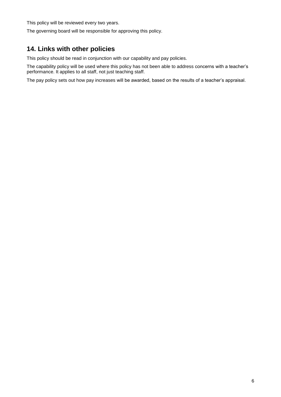This policy will be reviewed every two years.

The governing board will be responsible for approving this policy.

# **14. Links with other policies**

This policy should be read in conjunction with our capability and pay policies.

The capability policy will be used where this policy has not been able to address concerns with a teacher's performance. It applies to all staff, not just teaching staff.

The pay policy sets out how pay increases will be awarded, based on the results of a teacher's appraisal.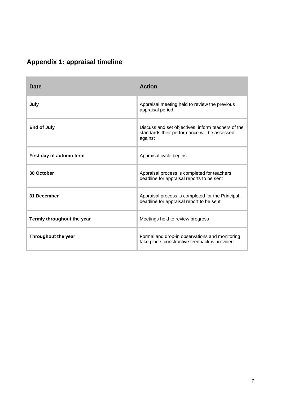| <b>Appendix 1: appraisal timeline</b> |  |  |  |
|---------------------------------------|--|--|--|
|---------------------------------------|--|--|--|

| Date                       | <b>Action</b>                                                                                                 |
|----------------------------|---------------------------------------------------------------------------------------------------------------|
| July                       | Appraisal meeting held to review the previous<br>appraisal period.                                            |
| <b>End of July</b>         | Discuss and set objectives, inform teachers of the<br>standards their performance will be assessed<br>against |
| First day of autumn term   | Appraisal cycle begins                                                                                        |
| 30 October                 | Appraisal process is completed for teachers,<br>deadline for appraisal reports to be sent                     |
| 31 December                | Appraisal process is completed for the Principal,<br>deadline for appraisal report to be sent                 |
| Termly throughout the year | Meetings held to review progress                                                                              |
| Throughout the year        | Formal and drop-in observations and monitoring<br>take place, constructive feedback is provided               |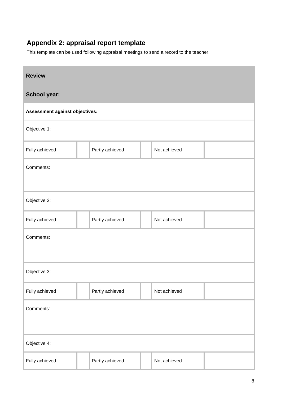# **Appendix 2: appraisal report template**

This template can be used following appraisal meetings to send a record to the teacher.

| <b>Review</b>                  |                 |                 |  |              |  |  |
|--------------------------------|-----------------|-----------------|--|--------------|--|--|
| School year:                   |                 |                 |  |              |  |  |
| Assessment against objectives: |                 |                 |  |              |  |  |
| Objective 1:                   |                 |                 |  |              |  |  |
| Fully achieved                 |                 | Partly achieved |  | Not achieved |  |  |
| Comments:                      |                 |                 |  |              |  |  |
|                                |                 |                 |  |              |  |  |
| Objective 2:                   |                 |                 |  |              |  |  |
| Fully achieved                 | Partly achieved |                 |  | Not achieved |  |  |
| Comments:                      |                 |                 |  |              |  |  |
|                                |                 |                 |  |              |  |  |
| Objective 3:                   |                 |                 |  |              |  |  |
| Fully achieved                 | Partly achieved |                 |  | Not achieved |  |  |
| Comments:                      |                 |                 |  |              |  |  |
|                                |                 |                 |  |              |  |  |
| Objective 4:                   |                 |                 |  |              |  |  |
| Fully achieved                 |                 | Partly achieved |  | Not achieved |  |  |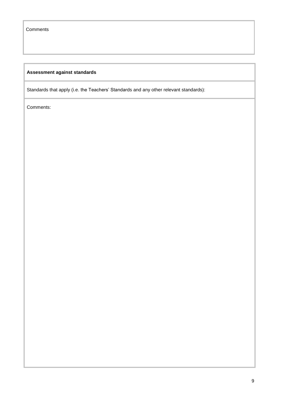## **Assessment against standards**

Standards that apply (i.e. the Teachers' Standards and any other relevant standards):

Comments: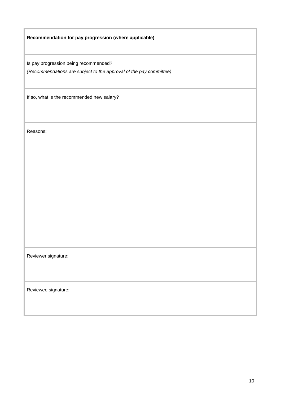**Recommendation for pay progression (where applicable)**

Is pay progression being recommended?

*(Recommendations are subject to the approval of the pay committee)*

If so, what is the recommended new salary?

Reasons:

Reviewer signature:

Reviewee signature: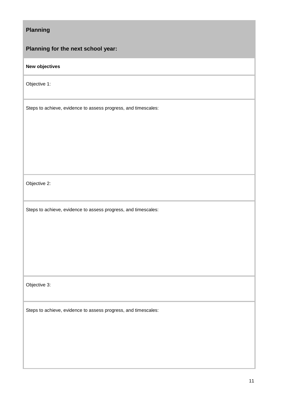| <b>Planning</b>                                                |
|----------------------------------------------------------------|
| Planning for the next school year:                             |
| New objectives                                                 |
| Objective 1:                                                   |
| Steps to achieve, evidence to assess progress, and timescales: |
| Objective 2:                                                   |
| Steps to achieve, evidence to assess progress, and timescales: |
| Objective 3:                                                   |
| Steps to achieve, evidence to assess progress, and timescales: |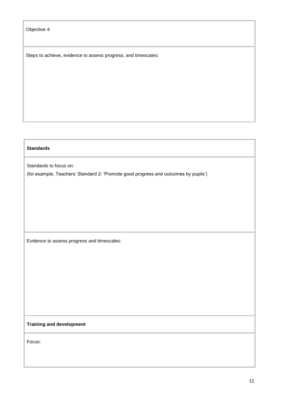Objective 4:

Steps to achieve, evidence to assess progress, and timescales:

#### **Standards**

Standards to focus on:

(for example, Teachers' Standard 2: 'Promote good progress and outcomes by pupils')

Evidence to assess progress and timescales:

#### **Training and development**

Focus: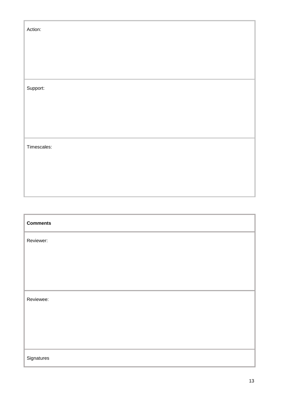| Action:        |  |  |  |
|----------------|--|--|--|
|                |  |  |  |
|                |  |  |  |
| Support:       |  |  |  |
|                |  |  |  |
|                |  |  |  |
|                |  |  |  |
| Timescales:    |  |  |  |
|                |  |  |  |
|                |  |  |  |
|                |  |  |  |
| $C$ and manufa |  |  |  |

| <b>Comments</b> |
|-----------------|
| Reviewer:       |
|                 |
|                 |
|                 |
| Reviewee:       |
|                 |
|                 |
|                 |
| Signatures      |